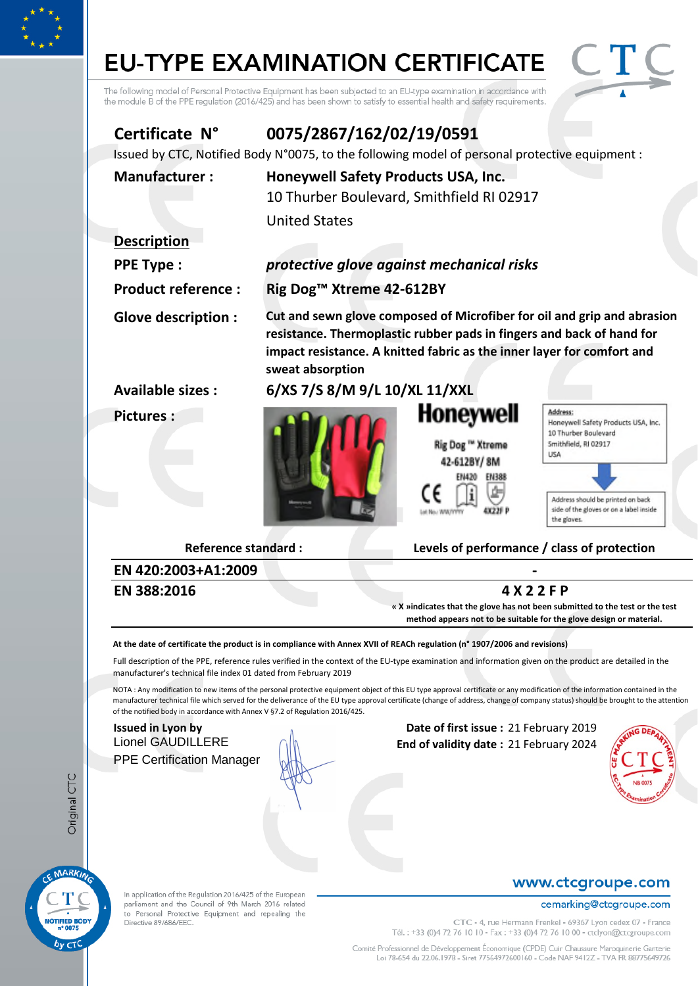# **EU-TYPE EXAMINATION CERTIFICATE**



The following model of Personal Protective Equipment has been subjected to an EU-type examination in accordance with<br>the module B of the PPE regulation (2016/425) and has been shown to satisfy to essential health and safet

| Certificate N°<br>Issued by CTC, Notified Body N°0075, to the following model of personal protective equipment :                                                                                                                                             | 0075/2867/162/02/19/0591                                    |                                                                                                                                                                                                                            |                                                                                                                                                                                                       |
|--------------------------------------------------------------------------------------------------------------------------------------------------------------------------------------------------------------------------------------------------------------|-------------------------------------------------------------|----------------------------------------------------------------------------------------------------------------------------------------------------------------------------------------------------------------------------|-------------------------------------------------------------------------------------------------------------------------------------------------------------------------------------------------------|
| <b>Manufacturer:</b>                                                                                                                                                                                                                                         | Honeywell Safety Products USA, Inc.<br><b>United States</b> | 10 Thurber Boulevard, Smithfield RI 02917                                                                                                                                                                                  |                                                                                                                                                                                                       |
| <b>Description</b>                                                                                                                                                                                                                                           |                                                             |                                                                                                                                                                                                                            |                                                                                                                                                                                                       |
| <b>PPE Type:</b>                                                                                                                                                                                                                                             |                                                             | protective glove against mechanical risks                                                                                                                                                                                  |                                                                                                                                                                                                       |
| <b>Product reference:</b>                                                                                                                                                                                                                                    | Rig Dog <sup>™</sup> Xtreme 42-612BY                        |                                                                                                                                                                                                                            |                                                                                                                                                                                                       |
| <b>Glove description:</b>                                                                                                                                                                                                                                    | sweat absorption                                            | Cut and sewn glove composed of Microfiber for oil and grip and abrasion<br>resistance. Thermoplastic rubber pads in fingers and back of hand for<br>impact resistance. A knitted fabric as the inner layer for comfort and |                                                                                                                                                                                                       |
| <b>Available sizes:</b>                                                                                                                                                                                                                                      | 6/XS 7/S 8/M 9/L 10/XL 11/XXL                               |                                                                                                                                                                                                                            |                                                                                                                                                                                                       |
| <b>Pictures:</b>                                                                                                                                                                                                                                             |                                                             | Honeywell<br>Rig Dog ™ Xtreme<br>EN 388                                                                                                                                                                                    | Address:<br>Honeywell Safety Products USA, Inc.<br>10 Thurber Boulevard<br>Smithfield, RI 02917<br>USA<br>Address should be printed on back<br>side of the gloves or on a label inside<br>the gloves. |
| <b>Reference standard:</b>                                                                                                                                                                                                                                   |                                                             | Levels of performance / class of protection                                                                                                                                                                                |                                                                                                                                                                                                       |
| EN 420:2003+A1:2009                                                                                                                                                                                                                                          |                                                             |                                                                                                                                                                                                                            |                                                                                                                                                                                                       |
| EN 388:2016                                                                                                                                                                                                                                                  |                                                             | 4 X 2 2 F P<br>« X »indicates that the glove has not been submitted to the test or the test<br>method appears not to be suitable for the glove design or material.                                                         |                                                                                                                                                                                                       |
| At the date of certificate the product is in compliance with Annex XVII of REACh regulation (n° 1907/2006 and revisions)                                                                                                                                     |                                                             |                                                                                                                                                                                                                            |                                                                                                                                                                                                       |
| Full description of the PPE, reference rules verified in the context of the EU-type examination and information given on the product are detailed in the<br>manufacturer's technical file index 01 dated from February 2019                                  |                                                             |                                                                                                                                                                                                                            |                                                                                                                                                                                                       |
| NOTA: Any modification to new items of the personal protective equipment object of this EU type approval certificate or any modification of the information contained in the<br>of the notified body in accordance with Annex V §7.2 of Regulation 2016/425. |                                                             |                                                                                                                                                                                                                            | manufacturer technical file which served for the deliverance of the EU type approval certificate (change of address, change of company status) should be brought to the attention                     |
| <b>Issued in Lyon by</b><br><b>Lionel GAUDILLERE</b><br><b>PPE Certification Manager</b>                                                                                                                                                                     |                                                             | Date of first issue: 21 February 2019<br>End of validity date: 21 February 2024                                                                                                                                            |                                                                                                                                                                                                       |



Original CTC

In application of the Regulation 2016/425 of the European parliament and the Council of 9th March 2016 related to Personal Protective Equipment and repealing the<br>Directive 89/686/EEC.

#### www.ctcgroupe.com

#### cemarking@ctcgroupe.com

CTC - 4, rue Hermann Frenkel - 69367 Lyon cedex 07 - France<br>Tél. : +33 (0)4 72 76 10 10 - Fax : +33 (0)4 72 76 10 00 - ctclyon@ctcgroupe.com

Comité Professionnel de Développement Économique (CPDE) Cuir Chaussure Maroquinerie Ganterie<br>Loi 78-654 du 22.06.1978 - Siret 77564972600160 - Code NAF 9412Z - TVA FR 88775649726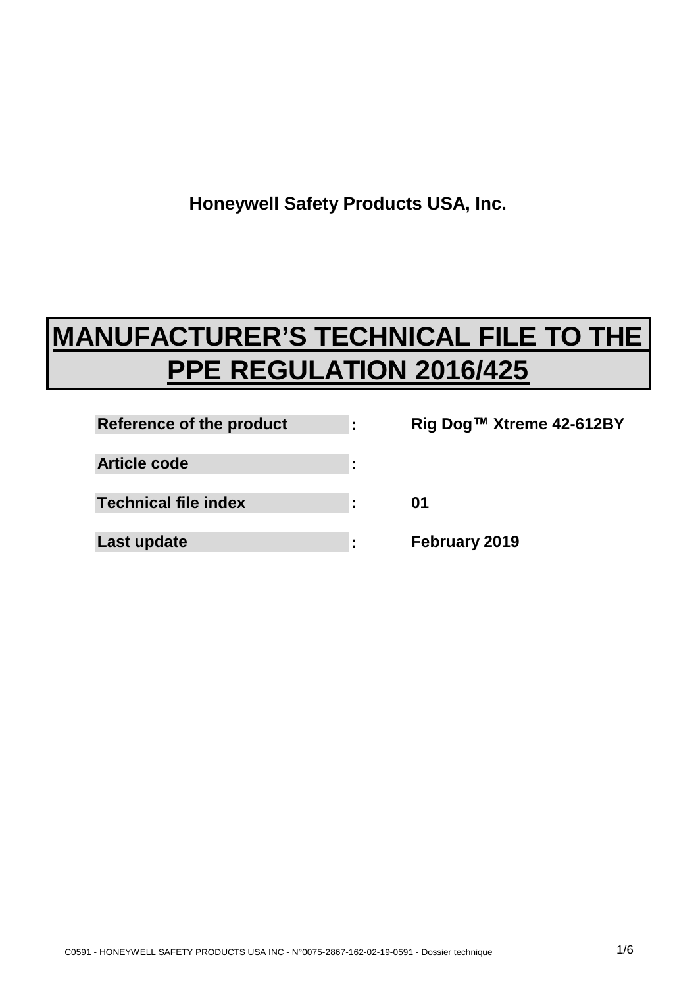**Honeywell Safety Products USA, Inc.**

## **MANUFACTURER'S TECHNICAL FILE TO THE PPE REGULATION 2016/425**

| Reference of the product    | ٠ |
|-----------------------------|---|
| Article code                |   |
| <b>Technical file index</b> |   |
| Last update                 |   |

**Rig Dog™ Xtreme 42-612BY 01 February 2019**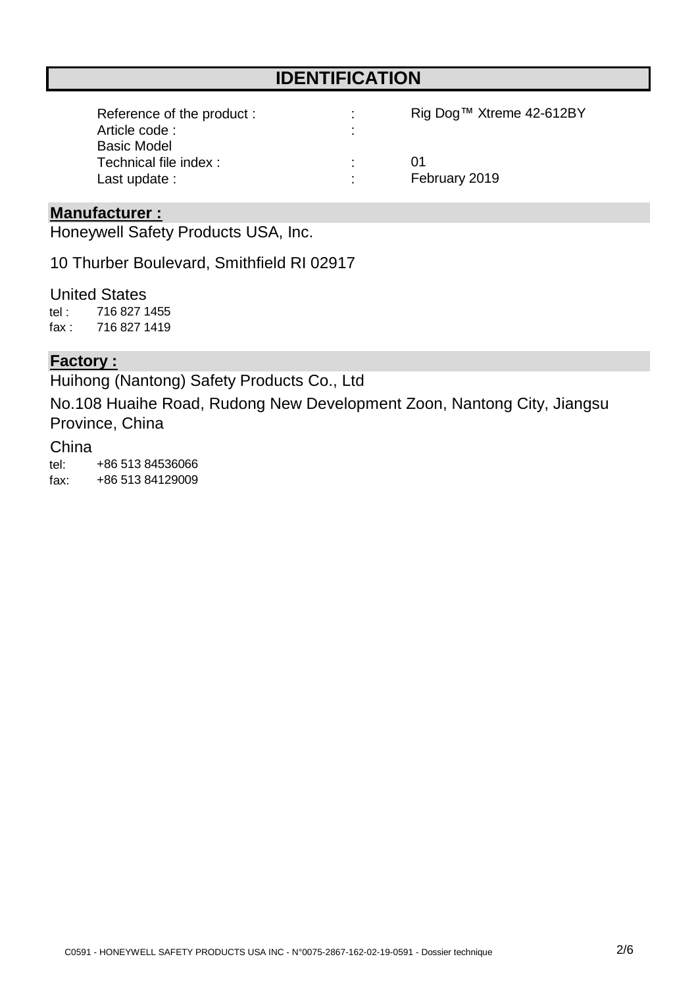## **IDENTIFICATION**

| Reference of the product: | Rig Dog™ Xtreme 42-612BY |
|---------------------------|--------------------------|
| Article code:             |                          |
| <b>Basic Model</b>        |                          |
| Technical file index :    | (11)                     |
| Last update :             | February 2019            |

#### **Manufacturer :**

Honeywell Safety Products USA, Inc.

10 Thurber Boulevard, Smithfield RI 02917

tel : fax : United States 716 827 1419 716 827 1455

#### **Factory :**

Huihong (Nantong) Safety Products Co., Ltd

No.108 Huaihe Road, Rudong New Development Zoon, Nantong City, Jiangsu Province, China

#### China

tel: fax: +86 513 84536066 +86 513 84129009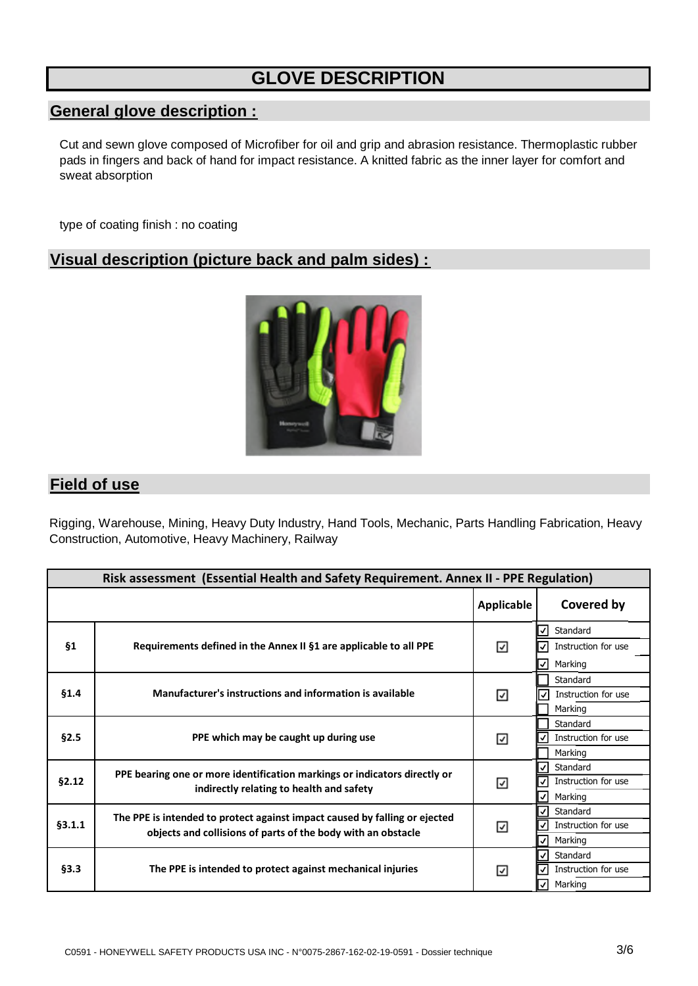## **GLOVE DESCRIPTION**

### **General glove description :**

Cut and sewn glove composed of Microfiber for oil and grip and abrasion resistance. Thermoplastic rubber pads in fingers and back of hand for impact resistance. A knitted fabric as the inner layer for comfort and sweat absorption

type of coating finish : no coating

#### **Visual description (picture back and palm sides) :**



#### **Field of use**

Rigging, Warehouse, Mining, Heavy Duty Industry, Hand Tools, Mechanic, Parts Handling Fabrication, Heavy Construction, Automotive, Heavy Machinery, Railway

| Risk assessment (Essential Health and Safety Requirement. Annex II - PPE Regulation) |                                                                                                                                            |                   |                                                            |  |
|--------------------------------------------------------------------------------------|--------------------------------------------------------------------------------------------------------------------------------------------|-------------------|------------------------------------------------------------|--|
|                                                                                      |                                                                                                                                            | <b>Applicable</b> | <b>Covered by</b>                                          |  |
| §1                                                                                   | Requirements defined in the Annex II §1 are applicable to all PPE                                                                          | ☑                 | Standard<br>⋁<br>Instruction for use<br>√<br>Marking<br>Ι√ |  |
| \$1.4                                                                                | Manufacturer's instructions and information is available                                                                                   | ☑                 | Standard<br>∣√<br>Instruction for use<br>Marking           |  |
| §2.5                                                                                 | PPE which may be caught up during use                                                                                                      | ☑                 | Standard<br>Instruction for use<br>Marking                 |  |
| §2.12                                                                                | PPE bearing one or more identification markings or indicators directly or<br>indirectly relating to health and safety                      | ☑                 | Standard<br>V<br>Instruction for use<br>Marking<br>I√l     |  |
| §3.1.1                                                                               | The PPE is intended to protect against impact caused by falling or ejected<br>objects and collisions of parts of the body with an obstacle | ☑                 | Standard<br>Ιν<br>Instruction for use<br>Marking<br>V      |  |
| §3.3                                                                                 | The PPE is intended to protect against mechanical injuries                                                                                 | ⊻                 | Standard<br>ا ∕ ا<br>Instruction for use<br>Marking<br>V   |  |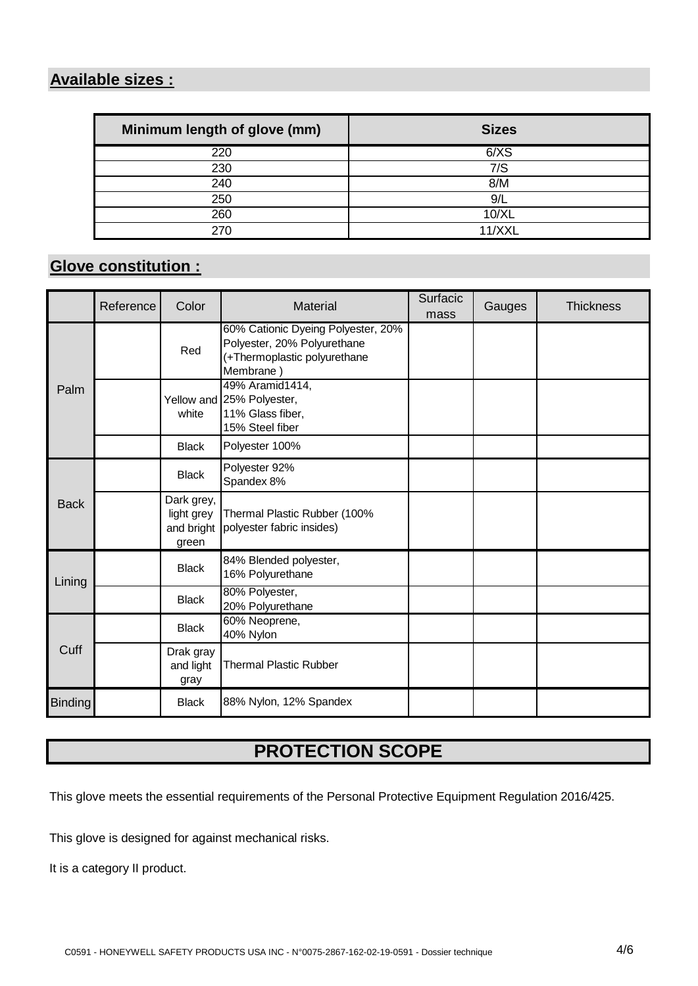## **Available sizes :**

| Minimum length of glove (mm) | <b>Sizes</b> |
|------------------------------|--------------|
| 220                          | 6/XS         |
| 230                          | 7/S          |
| 240                          | 8/M          |
| 250                          | 9/L          |
| 260                          | 10/XL        |
| 27                           | 11/XX        |

## **Glove constitution :**

|                | Reference | Color                                           | Material                                                                                                      | Surfacic<br>mass | Gauges | <b>Thickness</b> |
|----------------|-----------|-------------------------------------------------|---------------------------------------------------------------------------------------------------------------|------------------|--------|------------------|
| Palm           |           | Red                                             | 60% Cationic Dyeing Polyester, 20%<br>Polyester, 20% Polyurethane<br>(+Thermoplastic polyurethane<br>Membrane |                  |        |                  |
|                |           | white                                           | 49% Aramid1414,<br>Yellow and 25% Polyester,<br>11% Glass fiber,<br>15% Steel fiber                           |                  |        |                  |
|                |           | <b>Black</b>                                    | Polyester 100%                                                                                                |                  |        |                  |
|                |           | <b>Black</b>                                    | Polyester 92%<br>Spandex 8%                                                                                   |                  |        |                  |
| <b>Back</b>    |           | Dark grey,<br>light grey<br>and bright<br>green | Thermal Plastic Rubber (100%<br>polyester fabric insides)                                                     |                  |        |                  |
| Lining         |           | <b>Black</b>                                    | 84% Blended polyester,<br>16% Polyurethane                                                                    |                  |        |                  |
|                |           | <b>Black</b>                                    | 80% Polyester,<br>20% Polyurethane                                                                            |                  |        |                  |
|                |           | <b>Black</b>                                    | 60% Neoprene,<br>40% Nylon                                                                                    |                  |        |                  |
| Cuff           |           | Drak gray<br>and light<br>gray                  | <b>Thermal Plastic Rubber</b>                                                                                 |                  |        |                  |
| <b>Binding</b> |           | <b>Black</b>                                    | 88% Nylon, 12% Spandex                                                                                        |                  |        |                  |

## **PROTECTION SCOPE**

This glove meets the essential requirements of the Personal Protective Equipment Regulation 2016/425.

This glove is designed for against mechanical risks.

It is a category II product.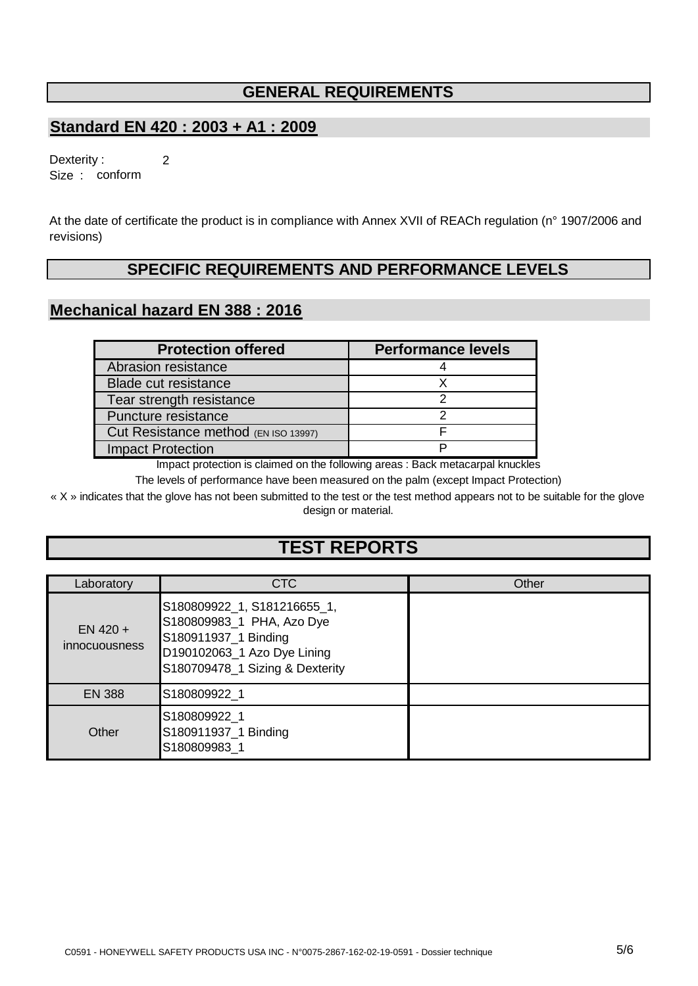#### **GENERAL REQUIREMENTS**

#### **Standard EN 420 : 2003 + A1 : 2009**

2

Size : conform Dexterity :

At the date of certificate the product is in compliance with Annex XVII of REACh regulation (n° 1907/2006 and revisions)

#### **SPECIFIC REQUIREMENTS AND PERFORMANCE LEVELS**

#### **Mechanical hazard EN 388 : 2016**

| <b>Protection offered</b>            | <b>Performance levels</b> |
|--------------------------------------|---------------------------|
| Abrasion resistance                  |                           |
| <b>Blade cut resistance</b>          |                           |
| Tear strength resistance             |                           |
| Puncture resistance                  |                           |
| Cut Resistance method (EN ISO 13997) |                           |
| <b>Impact Protection</b>             |                           |

Impact protection is claimed on the following areas : Back metacarpal knuckles

The levels of performance have been measured on the palm (except Impact Protection)

« X » indicates that the glove has not been submitted to the test or the test method appears not to be suitable for the glove design or material.

## **TEST REPORTS**

| Laboratory                         | CTC                                                                                                                                                | Other |
|------------------------------------|----------------------------------------------------------------------------------------------------------------------------------------------------|-------|
| $EN$ 420 +<br><i>innocuousness</i> | S180809922_1, S181216655_1,<br>S180809983_1 PHA, Azo Dye<br>S180911937_1 Binding<br>D190102063_1 Azo Dye Lining<br>S180709478_1 Sizing & Dexterity |       |
| <b>EN 388</b>                      | S180809922_1                                                                                                                                       |       |
| Other                              | S180809922 1<br>S180911937_1 Binding<br>S180809983 1                                                                                               |       |